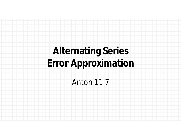# **Alternating Series Error Approximation**

Anton 11.7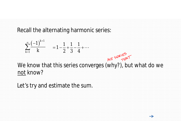Recall the alternating harmonic series:

$$
\sum_{k=1}^{\infty} \frac{(-1)^{k+1}}{k} = 1 - \frac{1}{2} + \frac{1}{3} - \frac{1}{4} + \cdots
$$



We know that this series converges (why?), but what do we not know?

Let's try and estimate the sum.

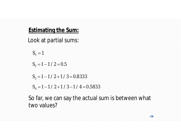### **Estimating the Sum:**

Look at partial sums:

$$
S_1 = 1
$$

 $S<sub>2</sub>$  = 1 – 1 / 2 = 0.5

 $S_3 = 1 - 1 / 2 + 1 / 3 = 0.8333$ 

 $S_4 = 1 - 1 / 2 + 1 / 3 - 1 / 4 = 0.5833$ 

So far, we can say the actual sum is between what two values?

 $\rightarrow$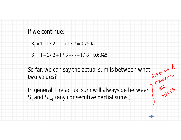#### If we continue:

 $S_7 = 1 - 1 / 2 + \cdots + 1 / 7 = 0.7595$ 

 $S_8 = 1 - 1 / 2 + 1 / 3 - \cdots - 1 / 8 = 0.6345$ 

So far, we can say the actual sum is between what<br>two values?<br>In general, the actual sum will always be between  $\int_{R^{5/10^{10^{26b}}}}^{R^{5/10^{10^{26b}}}}$ two values?

In general, the actual sum will always be between  $\overline{I}$ *Sn* and *Sn*+1 (any consecutive partial sums.)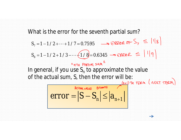What is the error for the seventh partial sum?  $S_7 = 1 - 1/2 + \dots + 1/7 = 0.7595$   $\longrightarrow$  ERROR OF  $S_7 \leq ||\lg||$  $S_8 = 1 - 1 / 2 + 1 / 3 - \dots + (1 / 8) = 0.6345$ "nTH PARTIFIC SUM " In general, if you use  $S_n$  to approximate the value of the actual sum, *S*, then the error will be:  $error = |S - S_n| \leq |a_{n+1}|$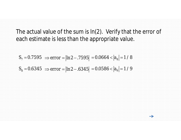The actual value of the sum is ln(2). Verify that the error of each estimate is less than the appropriate value.

$$
S_7 = 0.7595 \Rightarrow error = |ln 2 - .7595| = 0.0664 < |a_8| = 1/8
$$

$$
S_8 = 0.6345 \Rightarrow error = |ln 2 - .6345| = 0.0586 < |a_9| = 1/9
$$

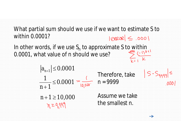What partial sum should we use if we want to estimate *S* to within 0.0001?  $|PREDR| \le .000|$ 

In other words, if we use  $S_n$  to approximate *S* to within 0.0001, what value of *n* should we use?

> $|a_{n+1}| \le 0.0001$ Therefore, take 1  $\leq$ 0.0001 *n* = 9999  $000$  $n + 1$  $\ddot{}$

 $n + 1 \ge 10,000$  $x \geq 9.999$ 

Assume we take the smallest *n*.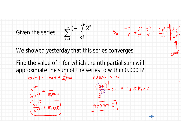



 $\sum_{k=1}$  *k* 

1

╪

 $\infty$ 

 $\sum_{i=1}^{n}$ 

 $(-1)^{7}$ 

E

 $1)^{^{\wedge}}2^{\wedge}$ 

 $k_{\mathbf{0}}k$ 

!<br>!

Find the value of *n* for which the *n*th partial sum will approximate the sum of the series to within 0.0001?



GUBS + CHECK '  $\frac{(\sqrt{D+1})!}{2^{(\sqrt{D+1})}} \approx 19,000 \ge 10,000$ 

 $S_n = \frac{-2}{1!} + \frac{2^2}{2!} - \frac{2^3}{3!} + \frac{(-1)^n 2^n}{n!}$ 

$$
\frac{1}{\text{MAE W}} = 10
$$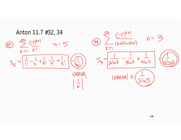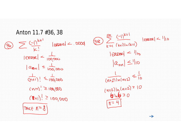Anton 11.7 #36, 38  $\sum_{k=1}^{n} \frac{(-1)^{k+1}}{k!}$  [erese]  $\leq$  . 0000  $|{\rm EKKK}| < \frac{1}{100000}$  $|a_{n+1}| \leq \frac{1}{100,000}$  $\frac{1}{(h+1)!} \leq \frac{1}{(00,000)}$  $C(M\pi)^{!} \geq 100,000$  $(8+1)! \ge 100,000$  $Mk\in N=\mathcal{S}$ 

 $\sum_{V=1}^{\infty}\frac{(-1)^{k+1}}{(k+1)\ln(k+1)}$  | ERROR | < 1 | 10  $|$  ERROR  $|$   $|$   $|$  to  $|a_{nn}| \leq ||0$  $\frac{1}{(n+2)\ln(n+2)} \leq \frac{1}{10}$  $(n+2)ln(n+2) = 10$  $61620$  $n = 4$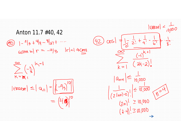